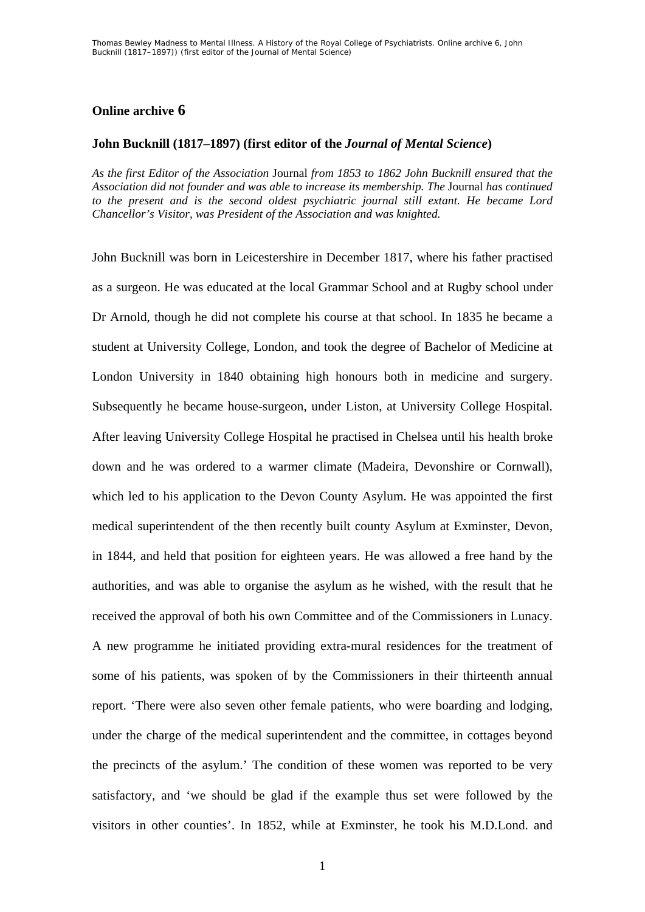## **Online archive 6**

## **John Bucknill (1817–1897) (first editor of the** *Journal of Mental Science***)**

*As the first Editor of the Association* Journal *from 1853 to 1862 John Bucknill ensured that the Association did not founder and was able to increase its membership. The* Journal *has continued to the present and is the second oldest psychiatric journal still extant. He became Lord Chancellor's Visitor, was President of the Association and was knighted.* 

John Bucknill was born in Leicestershire in December 1817, where his father practised as a surgeon. He was educated at the local Grammar School and at Rugby school under Dr Arnold, though he did not complete his course at that school. In 1835 he became a student at University College, London, and took the degree of Bachelor of Medicine at London University in 1840 obtaining high honours both in medicine and surgery. Subsequently he became house-surgeon, under Liston, at University College Hospital. After leaving University College Hospital he practised in Chelsea until his health broke down and he was ordered to a warmer climate (Madeira, Devonshire or Cornwall), which led to his application to the Devon County Asylum. He was appointed the first medical superintendent of the then recently built county Asylum at Exminster, Devon, in 1844, and held that position for eighteen years. He was allowed a free hand by the authorities, and was able to organise the asylum as he wished, with the result that he received the approval of both his own Committee and of the Commissioners in Lunacy. A new programme he initiated providing extra-mural residences for the treatment of some of his patients, was spoken of by the Commissioners in their thirteenth annual report. 'There were also seven other female patients, who were boarding and lodging, under the charge of the medical superintendent and the committee, in cottages beyond the precincts of the asylum.' The condition of these women was reported to be very satisfactory, and 'we should be glad if the example thus set were followed by the visitors in other counties'. In 1852, while at Exminster, he took his M.D.Lond. and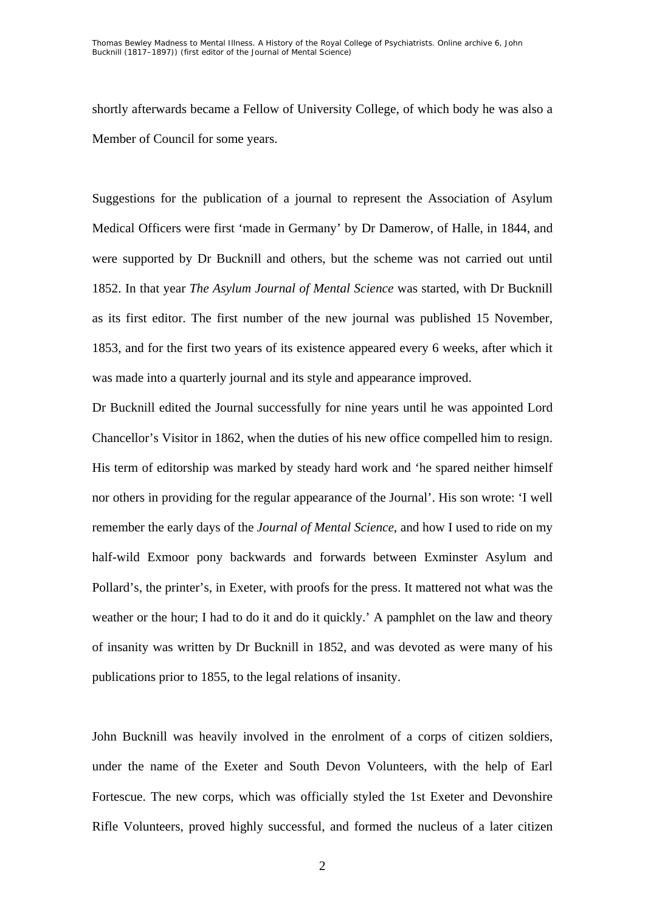shortly afterwards became a Fellow of University College, of which body he was also a Member of Council for some years.

Suggestions for the publication of a journal to represent the Association of Asylum Medical Officers were first 'made in Germany' by Dr Damerow, of Halle, in 1844, and were supported by Dr Bucknill and others, but the scheme was not carried out until 1852. In that year *The Asylum Journal of Mental Science* was started, with Dr Bucknill as its first editor. The first number of the new journal was published 15 November, 1853, and for the first two years of its existence appeared every 6 weeks, after which it was made into a quarterly journal and its style and appearance improved.

Dr Bucknill edited the Journal successfully for nine years until he was appointed Lord Chancellor's Visitor in 1862, when the duties of his new office compelled him to resign. His term of editorship was marked by steady hard work and 'he spared neither himself nor others in providing for the regular appearance of the Journal'. His son wrote: 'I well remember the early days of the *Journal of Mental Science*, and how I used to ride on my half-wild Exmoor pony backwards and forwards between Exminster Asylum and Pollard's, the printer's, in Exeter, with proofs for the press. It mattered not what was the weather or the hour; I had to do it and do it quickly.' A pamphlet on the law and theory of insanity was written by Dr Bucknill in 1852, and was devoted as were many of his publications prior to 1855, to the legal relations of insanity.

John Bucknill was heavily involved in the enrolment of a corps of citizen soldiers, under the name of the Exeter and South Devon Volunteers, with the help of Earl Fortescue. The new corps, which was officially styled the 1st Exeter and Devonshire Rifle Volunteers, proved highly successful, and formed the nucleus of a later citizen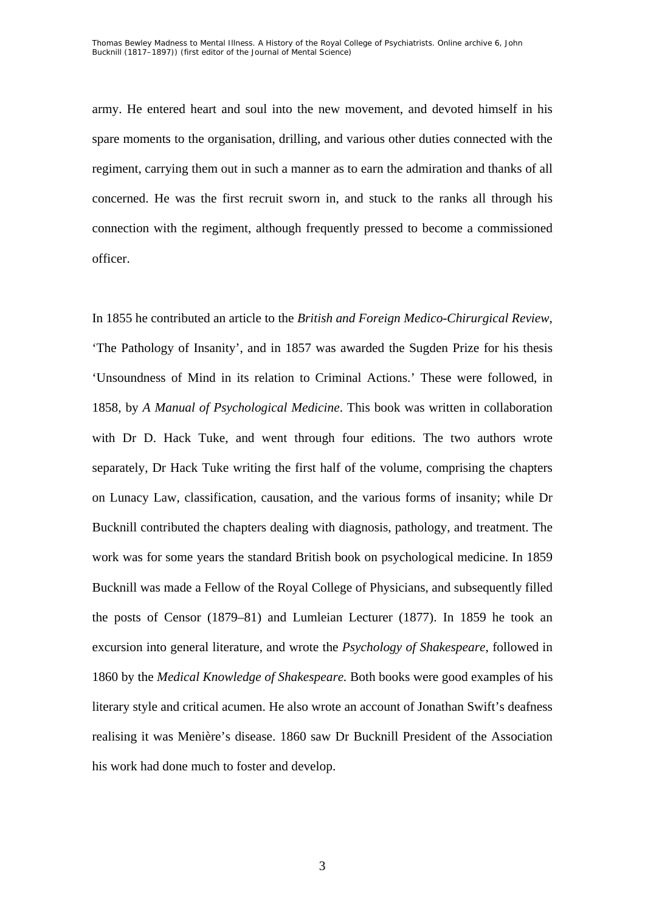army. He entered heart and soul into the new movement, and devoted himself in his spare moments to the organisation, drilling, and various other duties connected with the regiment, carrying them out in such a manner as to earn the admiration and thanks of all concerned. He was the first recruit sworn in, and stuck to the ranks all through his connection with the regiment, although frequently pressed to become a commissioned officer.

In 1855 he contributed an article to the *British and Foreign Medico-Chirurgical Review*, 'The Pathology of Insanity', and in 1857 was awarded the Sugden Prize for his thesis 'Unsoundness of Mind in its relation to Criminal Actions.' These were followed, in 1858, by *A Manual of Psychological Medicine*. This book was written in collaboration with Dr D. Hack Tuke, and went through four editions. The two authors wrote separately, Dr Hack Tuke writing the first half of the volume, comprising the chapters on Lunacy Law, classification, causation, and the various forms of insanity; while Dr Bucknill contributed the chapters dealing with diagnosis, pathology, and treatment. The work was for some years the standard British book on psychological medicine. In 1859 Bucknill was made a Fellow of the Royal College of Physicians, and subsequently filled the posts of Censor (1879–81) and Lumleian Lecturer (1877). In 1859 he took an excursion into general literature, and wrote the *Psychology of Shakespeare*, followed in 1860 by the *Medical Knowledge of Shakespeare.* Both books were good examples of his literary style and critical acumen. He also wrote an account of Jonathan Swift's deafness realising it was Menière's disease. 1860 saw Dr Bucknill President of the Association his work had done much to foster and develop.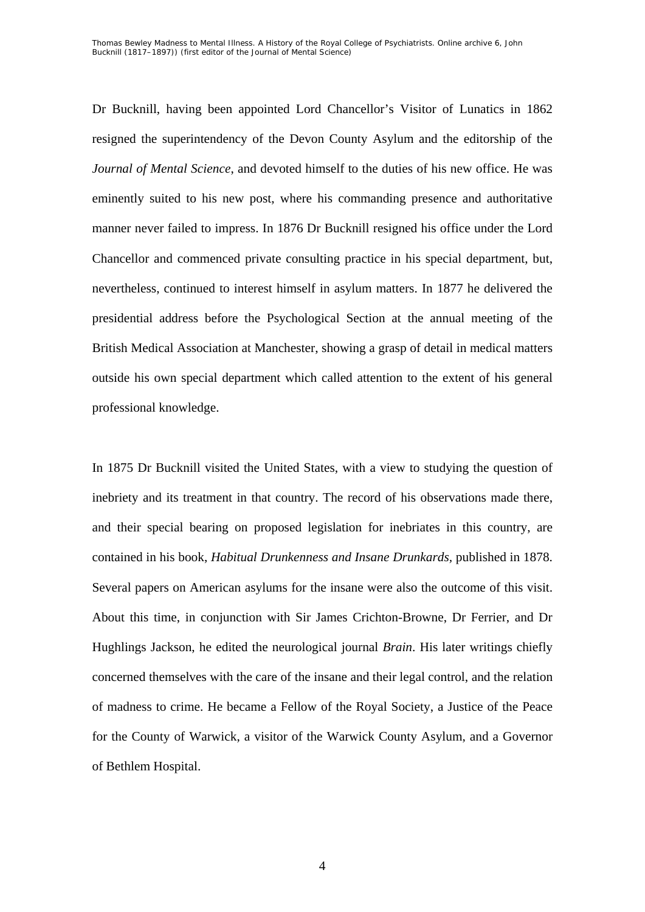Dr Bucknill, having been appointed Lord Chancellor's Visitor of Lunatics in 1862 resigned the superintendency of the Devon County Asylum and the editorship of the *Journal of Mental Science*, and devoted himself to the duties of his new office. He was eminently suited to his new post, where his commanding presence and authoritative manner never failed to impress. In 1876 Dr Bucknill resigned his office under the Lord Chancellor and commenced private consulting practice in his special department, but, nevertheless, continued to interest himself in asylum matters. In 1877 he delivered the presidential address before the Psychological Section at the annual meeting of the British Medical Association at Manchester, showing a grasp of detail in medical matters outside his own special department which called attention to the extent of his general professional knowledge.

In 1875 Dr Bucknill visited the United States, with a view to studying the question of inebriety and its treatment in that country. The record of his observations made there, and their special bearing on proposed legislation for inebriates in this country, are contained in his book, *Habitual Drunkenness and Insane Drunkards,* published in 1878. Several papers on American asylums for the insane were also the outcome of this visit. About this time, in conjunction with Sir James Crichton-Browne, Dr Ferrier, and Dr Hughlings Jackson, he edited the neurological journal *Brain*. His later writings chiefly concerned themselves with the care of the insane and their legal control, and the relation of madness to crime. He became a Fellow of the Royal Society, a Justice of the Peace for the County of Warwick, a visitor of the Warwick County Asylum, and a Governor of Bethlem Hospital.